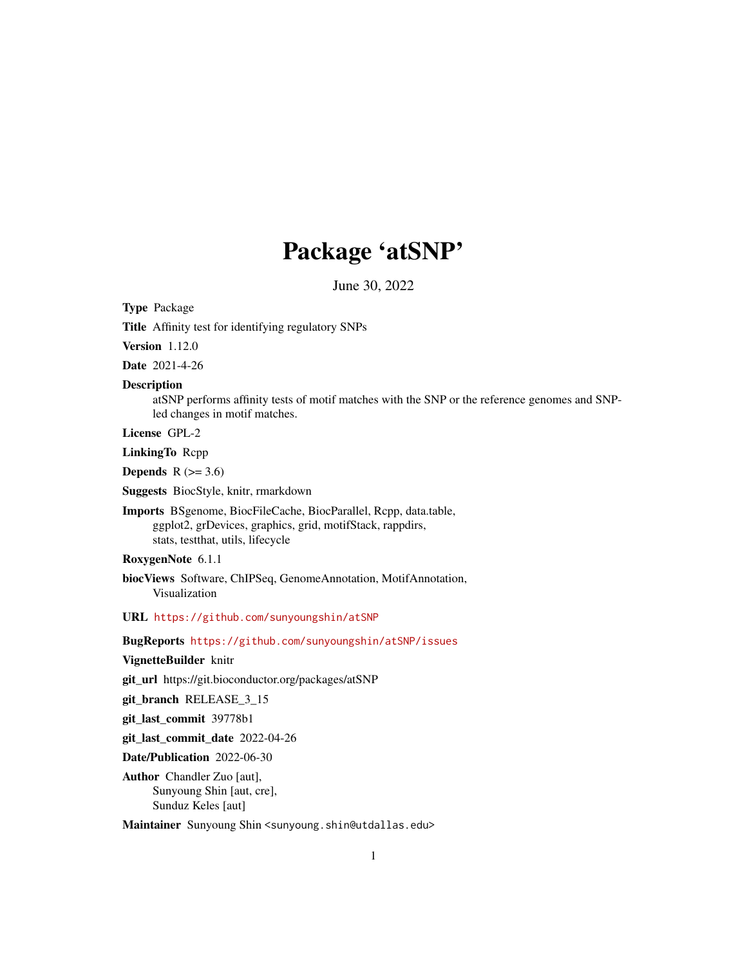# Package 'atSNP'

June 30, 2022

<span id="page-0-0"></span>Type Package

Title Affinity test for identifying regulatory SNPs

Version 1.12.0

Date 2021-4-26

#### Description

atSNP performs affinity tests of motif matches with the SNP or the reference genomes and SNPled changes in motif matches.

License GPL-2

LinkingTo Rcpp

**Depends**  $R$  ( $>= 3.6$ )

Suggests BiocStyle, knitr, rmarkdown

Imports BSgenome, BiocFileCache, BiocParallel, Rcpp, data.table, ggplot2, grDevices, graphics, grid, motifStack, rappdirs, stats, testthat, utils, lifecycle

# RoxygenNote 6.1.1

biocViews Software, ChIPSeq, GenomeAnnotation, MotifAnnotation, Visualization

URL <https://github.com/sunyoungshin/atSNP>

#### BugReports <https://github.com/sunyoungshin/atSNP/issues>

VignetteBuilder knitr

git\_url https://git.bioconductor.org/packages/atSNP

git\_branch RELEASE\_3\_15

git\_last\_commit 39778b1

git\_last\_commit\_date 2022-04-26

Date/Publication 2022-06-30

Author Chandler Zuo [aut], Sunyoung Shin [aut, cre], Sunduz Keles [aut]

Maintainer Sunyoung Shin <sunyoung.shin@utdallas.edu>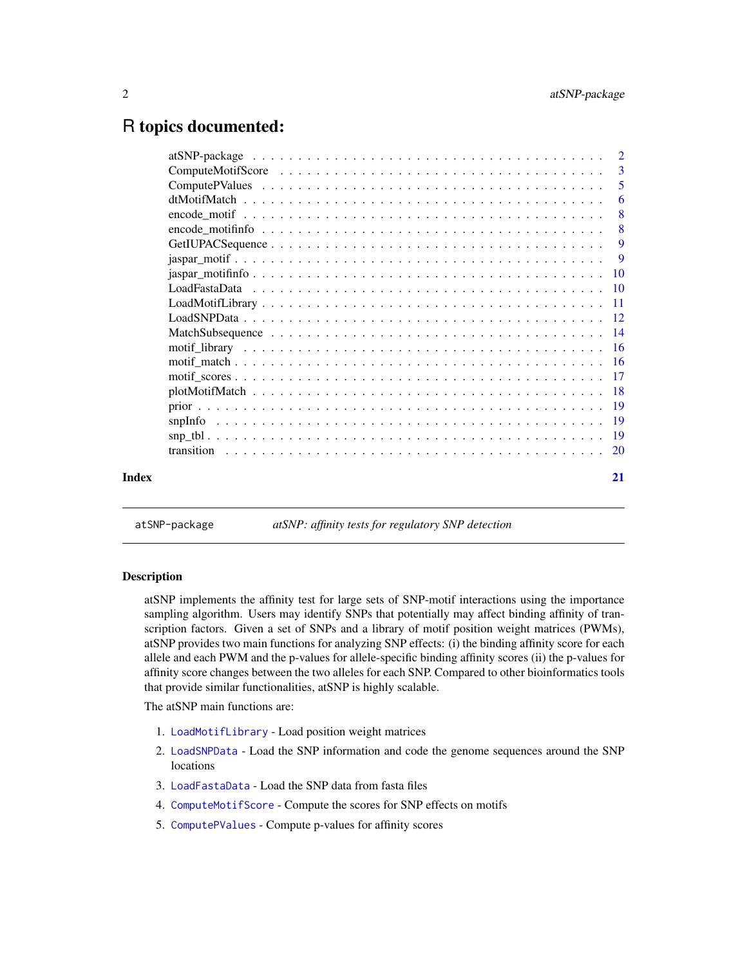# <span id="page-1-0"></span>R topics documented:

|       |                                                                                                           | -3                         |
|-------|-----------------------------------------------------------------------------------------------------------|----------------------------|
|       |                                                                                                           | $\overline{\phantom{0}}$ 5 |
|       |                                                                                                           | 6                          |
|       |                                                                                                           | -8                         |
|       |                                                                                                           | - 8                        |
|       |                                                                                                           |                            |
|       |                                                                                                           | <b>9</b>                   |
|       |                                                                                                           |                            |
|       |                                                                                                           |                            |
|       |                                                                                                           |                            |
|       |                                                                                                           |                            |
|       |                                                                                                           |                            |
|       |                                                                                                           |                            |
|       |                                                                                                           |                            |
|       |                                                                                                           |                            |
|       |                                                                                                           |                            |
|       |                                                                                                           |                            |
|       |                                                                                                           |                            |
|       | $\mathsf{sup\_tbl.}\dots\dots\dots\dots\dots\dots\dots\dots\dots\dots\dots\dots\dots\dots\dots\dots\dots$ |                            |
|       |                                                                                                           |                            |
| Index |                                                                                                           | 21                         |

atSNP-package *atSNP: affinity tests for regulatory SNP detection*

# Description

atSNP implements the affinity test for large sets of SNP-motif interactions using the importance sampling algorithm. Users may identify SNPs that potentially may affect binding affinity of transcription factors. Given a set of SNPs and a library of motif position weight matrices (PWMs), atSNP provides two main functions for analyzing SNP effects: (i) the binding affinity score for each allele and each PWM and the p-values for allele-specific binding affinity scores (ii) the p-values for affinity score changes between the two alleles for each SNP. Compared to other bioinformatics tools that provide similar functionalities, atSNP is highly scalable.

The atSNP main functions are:

- 1. [LoadMotifLibrary](#page-10-1) Load position weight matrices
- 2. [LoadSNPData](#page-11-1) Load the SNP information and code the genome sequences around the SNP locations
- 3. [LoadFastaData](#page-9-1) Load the SNP data from fasta files
- 4. [ComputeMotifScore](#page-2-1) Compute the scores for SNP effects on motifs
- 5. [ComputePValues](#page-4-1) Compute p-values for affinity scores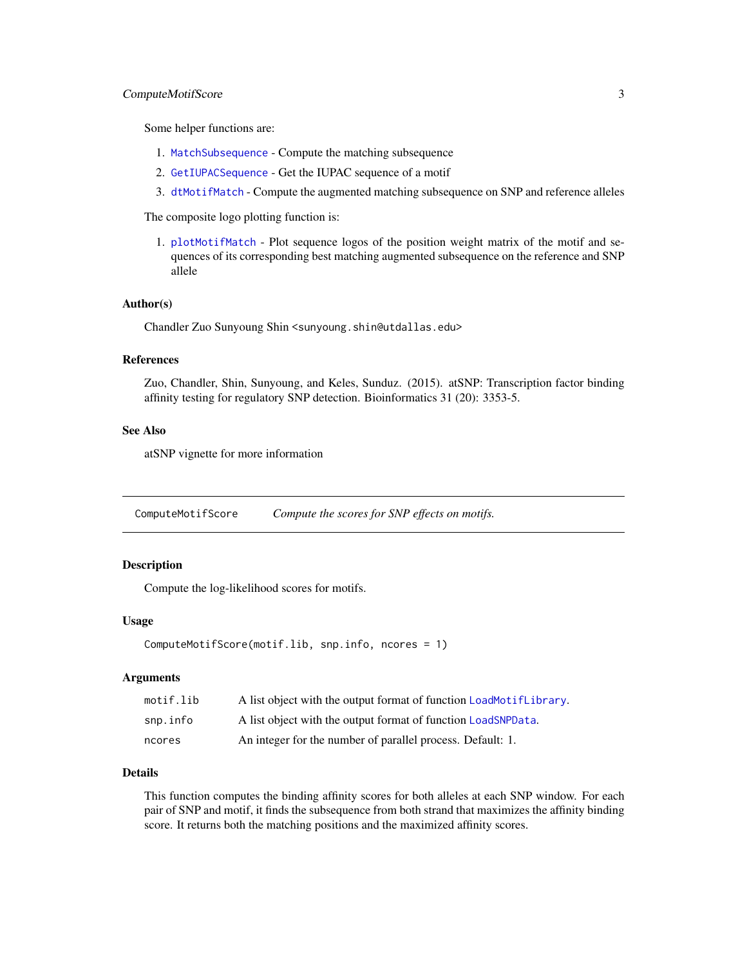#### <span id="page-2-0"></span>ComputeMotifScore 3

Some helper functions are:

- 1. [MatchSubsequence](#page-13-1) Compute the matching subsequence
- 2. [GetIUPACSequence](#page-8-1) Get the IUPAC sequence of a motif
- 3. [dtMotifMatch](#page-5-1) Compute the augmented matching subsequence on SNP and reference alleles

The composite logo plotting function is:

1. [plotMotifMatch](#page-17-1) - Plot sequence logos of the position weight matrix of the motif and sequences of its corresponding best matching augmented subsequence on the reference and SNP allele

#### Author(s)

Chandler Zuo Sunyoung Shin <sunyoung.shin@utdallas.edu>

#### References

Zuo, Chandler, Shin, Sunyoung, and Keles, Sunduz. (2015). atSNP: Transcription factor binding affinity testing for regulatory SNP detection. Bioinformatics 31 (20): 3353-5.

#### See Also

atSNP vignette for more information

<span id="page-2-1"></span>ComputeMotifScore *Compute the scores for SNP effects on motifs.*

#### Description

Compute the log-likelihood scores for motifs.

#### Usage

```
ComputeMotifScore(motif.lib, snp.info, ncores = 1)
```
#### Arguments

| motif.lib | A list object with the output format of function LoadMotifLibrary. |
|-----------|--------------------------------------------------------------------|
| snp.info  | A list object with the output format of function LoadSNPData.      |
| ncores    | An integer for the number of parallel process. Default: 1.         |

# Details

This function computes the binding affinity scores for both alleles at each SNP window. For each pair of SNP and motif, it finds the subsequence from both strand that maximizes the affinity binding score. It returns both the matching positions and the maximized affinity scores.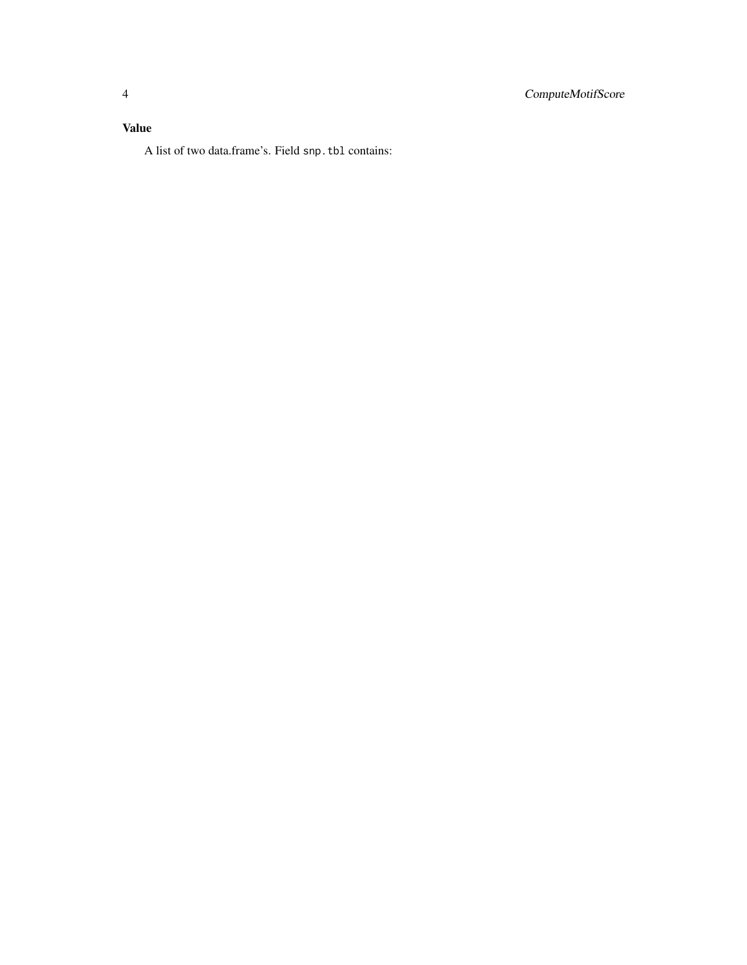# Value

A list of two data.frame's. Field snp.tbl contains: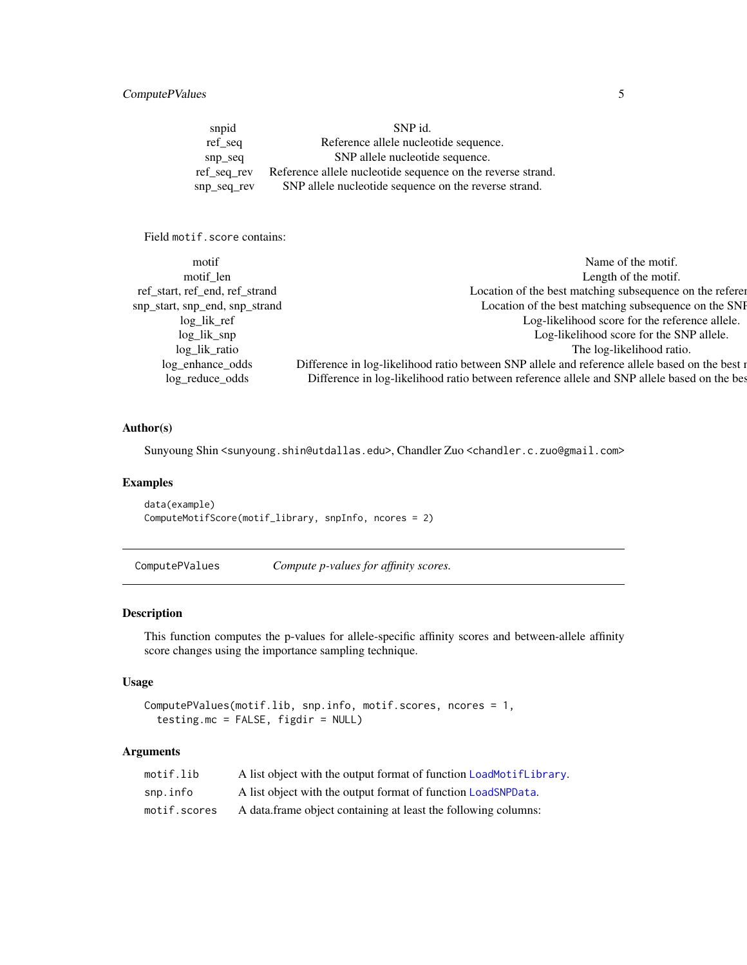# <span id="page-4-0"></span>ComputePValues 5

snpid SNP id. ref\_seq Reference allele nucleotide sequence. snp\_seq SNP allele nucleotide sequence. ref\_seq\_rev Reference allele nucleotide sequence on the reverse strand. snp\_seq\_rev SNP allele nucleotide sequence on the reverse strand.

Field motif.score contains:

| motif                          | Name of the motif.                                                                             |
|--------------------------------|------------------------------------------------------------------------------------------------|
| motif len                      | Length of the motif.                                                                           |
| ref_start, ref_end, ref_strand | Location of the best matching subsequence on the referent                                      |
| snp_start, snp_end, snp_strand | Location of the best matching subsequence on the SNF                                           |
| $log_{1}$ $list_{ref}$         | Log-likelihood score for the reference allele.                                                 |
| $log_{1}$ $\frac{1}{k}$ snp    | Log-likelihood score for the SNP allele.                                                       |
| log_lik_ratio                  | The log-likelihood ratio.                                                                      |
| log_enhance_odds               | Difference in log-likelihood ratio between SNP allele and reference allele based on the best r |
| log_reduce_odds                | Difference in log-likelihood ratio between reference allele and SNP allele based on the bes    |
|                                |                                                                                                |

# Author(s)

Sunyoung Shin <sunyoung.shin@utdallas.edu>, Chandler Zuo <chandler.c.zuo@gmail.com>

# Examples

```
data(example)
ComputeMotifScore(motif_library, snpInfo, ncores = 2)
```
<span id="page-4-1"></span>ComputePValues *Compute p-values for affinity scores.*

#### Description

This function computes the p-values for allele-specific affinity scores and between-allele affinity score changes using the importance sampling technique.

# Usage

```
ComputePValues(motif.lib, snp.info, motif.scores, ncores = 1,
  testing.mc = FALSE, figdir = NULL)
```
# Arguments

| motif.lib    | A list object with the output format of function LoadMotifLibrary. |
|--------------|--------------------------------------------------------------------|
| snp.info     | A list object with the output format of function LoadSNPData.      |
| motif.scores | A data frame object containing at least the following columns:     |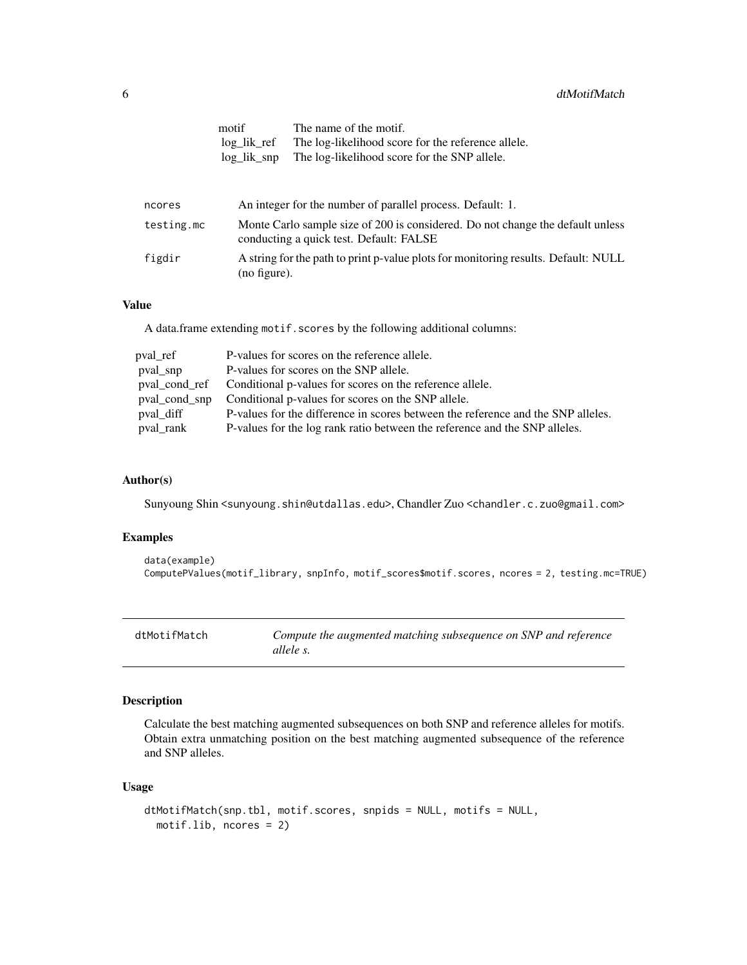<span id="page-5-0"></span>

|            | motif<br>$log_{ik}$ ref<br>$log_{ik}$ gnp | The name of the motif.<br>The log-likelihood score for the reference allele.<br>The log-likelihood score for the SNP allele. |  |  |
|------------|-------------------------------------------|------------------------------------------------------------------------------------------------------------------------------|--|--|
| ncores     |                                           | An integer for the number of parallel process. Default: 1.                                                                   |  |  |
| testing.mc |                                           | Monte Carlo sample size of 200 is considered. Do not change the default unless<br>conducting a quick test. Default: FALSE    |  |  |
| figdir     | (no figure).                              | A string for the path to print p-value plots for monitoring results. Default: NULL                                           |  |  |

### Value

A data.frame extending motif.scores by the following additional columns:

| pval_ref  | P-values for scores on the reference allele.                                     |
|-----------|----------------------------------------------------------------------------------|
| pval_snp  | P-values for scores on the SNP allele.                                           |
|           | pval_cond_ref Conditional p-values for scores on the reference allele.           |
|           | poul cond snp Conditional p-values for scores on the SNP allele.                 |
| pval_diff | P-values for the difference in scores between the reference and the SNP alleles. |
| pval_rank | P-values for the log rank ratio between the reference and the SNP alleles.       |

# Author(s)

Sunyoung Shin <sunyoung.shin@utdallas.edu>, Chandler Zuo <chandler.c.zuo@gmail.com>

# Examples

```
data(example)
ComputePValues(motif_library, snpInfo, motif_scores$motif.scores, ncores = 2, testing.mc=TRUE)
```
<span id="page-5-1"></span>

| dtMotifMatch | Compute the augmented matching subsequence on SNP and reference |
|--------------|-----------------------------------------------------------------|
|              | allele s.                                                       |

# Description

Calculate the best matching augmented subsequences on both SNP and reference alleles for motifs. Obtain extra unmatching position on the best matching augmented subsequence of the reference and SNP alleles.

#### Usage

```
dtMotifMatch(snp.tbl, motif.scores, snpids = NULL, motifs = NULL,
 motif.lib, ncores = 2)
```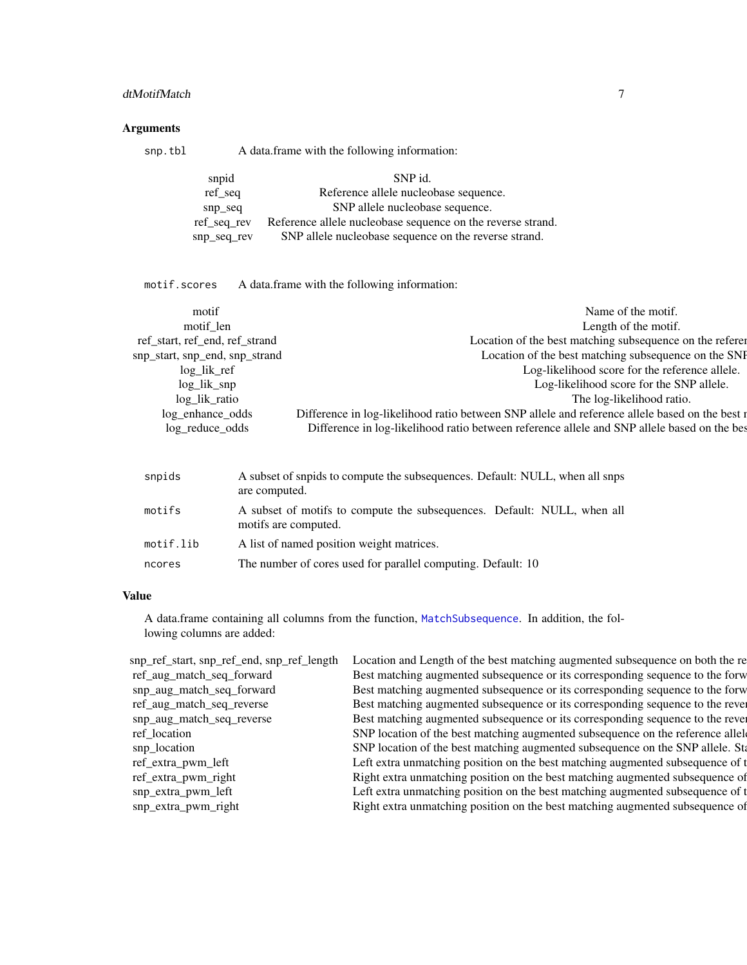# <span id="page-6-0"></span>dtMotifMatch 7

# Arguments

| snp.tbl |             | A data frame with the following information:                |
|---------|-------------|-------------------------------------------------------------|
|         | snpid       | SNP id.                                                     |
|         | ref_seq     | Reference allele nucleobase sequence.                       |
|         | $snp\_seq$  | SNP allele nucleobase sequence.                             |
|         | ref_seq_rev | Reference allele nucleobase sequence on the reverse strand. |
|         | snp_seq_rev | SNP allele nucleobase sequence on the reverse strand.       |

motif.scores A data.frame with the following information:

| motif                          | Name of the motif.                                                                             |
|--------------------------------|------------------------------------------------------------------------------------------------|
| motif len                      | Length of the motif.                                                                           |
| ref_start, ref_end, ref_strand | Location of the best matching subsequence on the referent                                      |
| snp_start, snp_end, snp_strand | Location of the best matching subsequence on the SNF                                           |
| $log_{1}$ $list_{ref}$         | Log-likelihood score for the reference allele.                                                 |
| $log_{1}$ $\frac{1}{k}$ snp    | Log-likelihood score for the SNP allele.                                                       |
| log_lik_ratio                  | The log-likelihood ratio.                                                                      |
| log_enhance_odds               | Difference in log-likelihood ratio between SNP allele and reference allele based on the best n |
| log_reduce_odds                | Difference in log-likelihood ratio between reference allele and SNP allele based on the bes    |
|                                |                                                                                                |

| snpids    | A subset of snpids to compute the subsequences. Default: NULL, when all snps<br>are computed.   |
|-----------|-------------------------------------------------------------------------------------------------|
| motifs    | A subset of motifs to compute the subsequences. Default: NULL, when all<br>motifs are computed. |
| motif.lib | A list of named position weight matrices.                                                       |
| ncores    | The number of cores used for parallel computing. Default: 10                                    |

#### Value

A data.frame containing all columns from the function, [MatchSubsequence](#page-13-1). In addition, the following columns are added:

| snp_ref_start, snp_ref_end, snp_ref_length | Location and Length of the best matching augmented subsequence on both the re   |
|--------------------------------------------|---------------------------------------------------------------------------------|
| ref_aug_match_seq_forward                  | Best matching augmented subsequence or its corresponding sequence to the forw   |
| snp_aug_match_seq_forward                  | Best matching augmented subsequence or its corresponding sequence to the forw   |
| ref_aug_match_seq_reverse                  | Best matching augmented subsequence or its corresponding sequence to the rever  |
| snp_aug_match_seq_reverse                  | Best matching augmented subsequence or its corresponding sequence to the rever  |
| ref_location                               | SNP location of the best matching augmented subsequence on the reference allele |
| snp_location                               | SNP location of the best matching augmented subsequence on the SNP allele. Sta  |
| ref_extra_pwm_left                         | Left extra unmatching position on the best matching augmented subsequence of t  |
| ref_extra_pwm_right                        | Right extra unmatching position on the best matching augmented subsequence of   |
| snp_extra_pwm_left                         | Left extra unmatching position on the best matching augmented subsequence of t  |
| snp_extra_pwm_right                        | Right extra unmatching position on the best matching augmented subsequence of   |
|                                            |                                                                                 |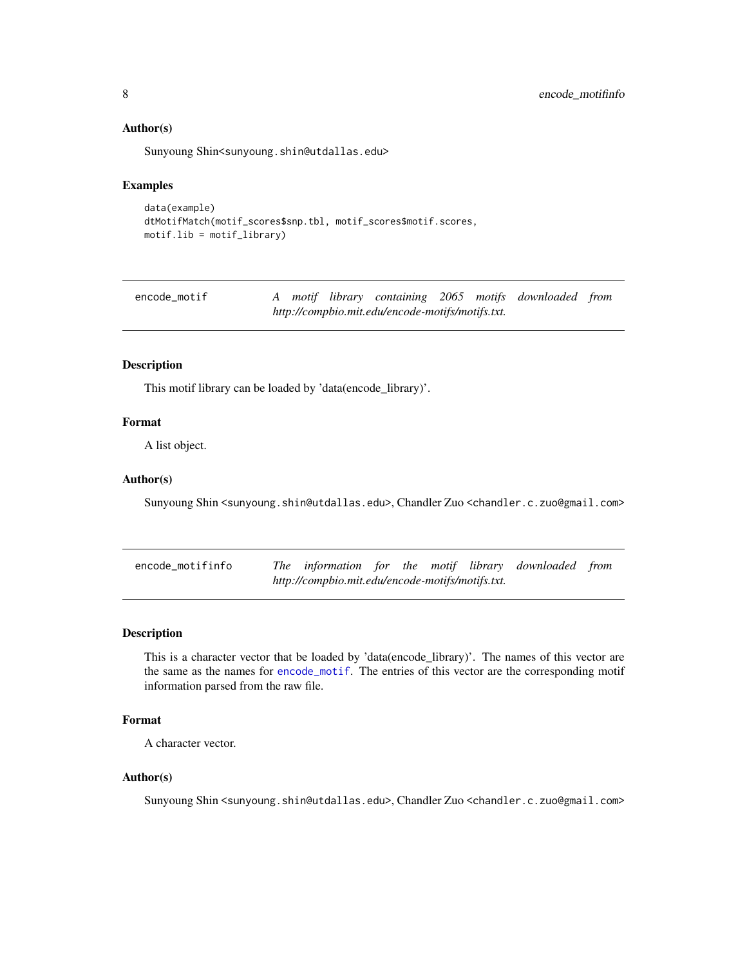#### <span id="page-7-0"></span>Author(s)

Sunyoung Shin<sunyoung.shin@utdallas.edu>

#### Examples

```
data(example)
dtMotifMatch(motif_scores$snp.tbl, motif_scores$motif.scores,
motif.lib = motif_library)
```
<span id="page-7-1"></span>

| encode_motif                                     |  |  |  |  |  |  | A motif library containing 2065 motifs downloaded from |  |
|--------------------------------------------------|--|--|--|--|--|--|--------------------------------------------------------|--|
| http://compbio.mit.edu/encode-motifs/motifs.txt. |  |  |  |  |  |  |                                                        |  |

# Description

This motif library can be loaded by 'data(encode\_library)'.

#### Format

A list object.

#### Author(s)

Sunyoung Shin <sunyoung.shin@utdallas.edu>, Chandler Zuo <chandler.c.zuo@gmail.com>

| encode_motifinfo |                                                  |  |  | The information for the motif library downloaded from |  |
|------------------|--------------------------------------------------|--|--|-------------------------------------------------------|--|
|                  | http://compbio.mit.edu/encode-motifs/motifs.txt. |  |  |                                                       |  |

#### Description

This is a character vector that be loaded by 'data(encode\_library)'. The names of this vector are the same as the names for [encode\\_motif](#page-7-1). The entries of this vector are the corresponding motif information parsed from the raw file.

### Format

A character vector.

#### Author(s)

Sunyoung Shin <sunyoung.shin@utdallas.edu>, Chandler Zuo <chandler.c.zuo@gmail.com>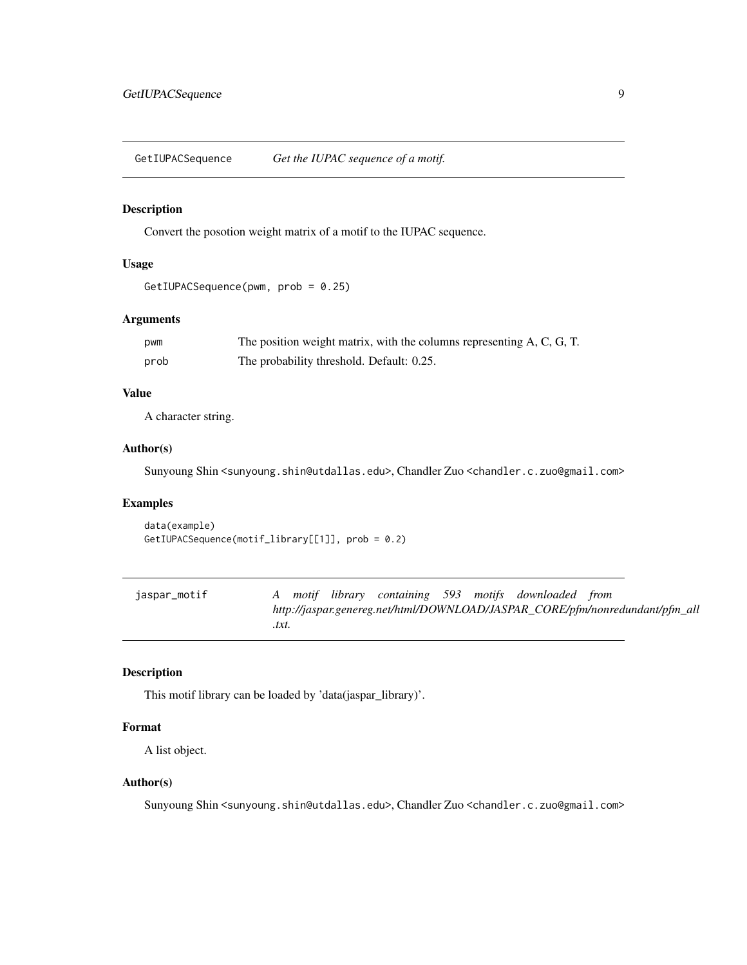<span id="page-8-1"></span><span id="page-8-0"></span>GetIUPACSequence *Get the IUPAC sequence of a motif.*

# Description

Convert the posotion weight matrix of a motif to the IUPAC sequence.

#### Usage

```
GetIUPACSequence(pwm, prob = 0.25)
```
# Arguments

| pwm  | The position weight matrix, with the columns representing A, C, G, T. |
|------|-----------------------------------------------------------------------|
| prob | The probability threshold. Default: 0.25.                             |

#### Value

A character string.

# Author(s)

Sunyoung Shin <sunyoung.shin@utdallas.edu>, Chandler Zuo <chandler.c.zuo@gmail.com>

# Examples

```
data(example)
GetIUPACSequence(motif_library[[1]], prob = 0.2)
```
<span id="page-8-2"></span>

| jaspar_motif |       |  |  | A motif library containing 593 motifs downloaded from |                                                                              |
|--------------|-------|--|--|-------------------------------------------------------|------------------------------------------------------------------------------|
|              |       |  |  |                                                       | http://jaspar.genereg.net/html/DOWNLOAD/JASPAR_CORE/pfm/nonredundant/pfm_all |
|              | .txt. |  |  |                                                       |                                                                              |

# Description

This motif library can be loaded by 'data(jaspar\_library)'.

# Format

A list object.

# Author(s)

Sunyoung Shin <sunyoung.shin@utdallas.edu>, Chandler Zuo <chandler.c.zuo@gmail.com>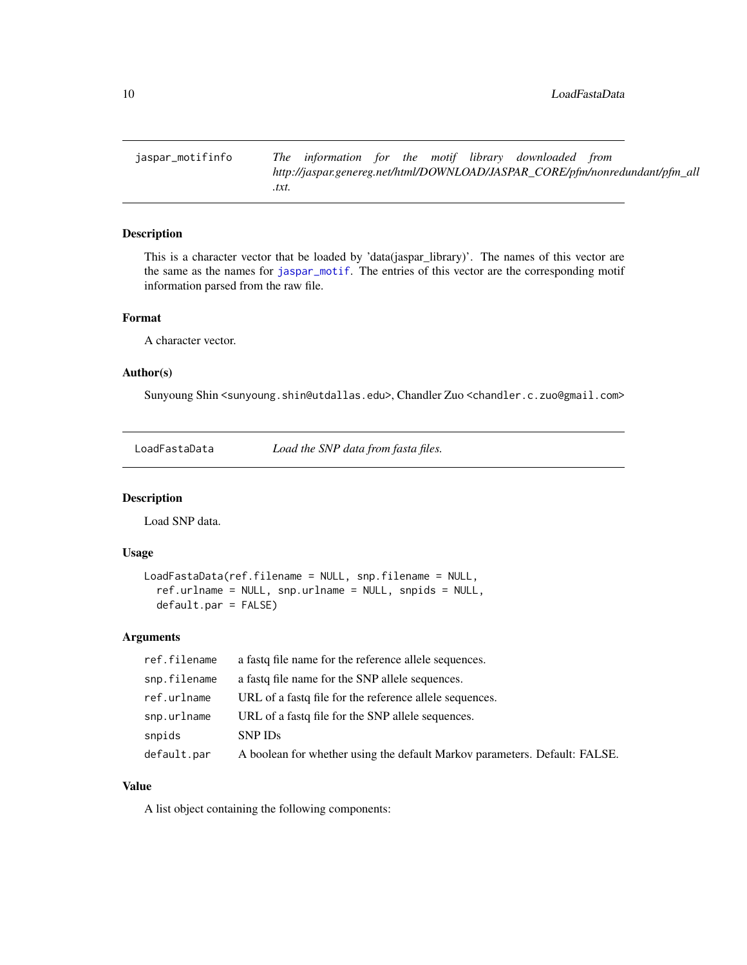<span id="page-9-0"></span>jaspar\_motifinfo *The information for the motif library downloaded from http://jaspar.genereg.net/html/DOWNLOAD/JASPAR\_CORE/pfm/nonredundant/pfm\_all .txt.*

# Description

This is a character vector that be loaded by 'data(jaspar\_library)'. The names of this vector are the same as the names for [jaspar\\_motif](#page-8-2). The entries of this vector are the corresponding motif information parsed from the raw file.

# Format

A character vector.

#### Author(s)

Sunyoung Shin <sunyoung.shin@utdallas.edu>, Chandler Zuo <chandler.c.zuo@gmail.com>

<span id="page-9-1"></span>LoadFastaData *Load the SNP data from fasta files.*

#### Description

Load SNP data.

#### Usage

```
LoadFastaData(ref.filename = NULL, snp.filename = NULL,
  ref.urlname = NULL, snp.urlname = NULL, snpids = NULL,
  default.par = FALSE)
```
#### Arguments

| ref.filename | a fastq file name for the reference allele sequences.                      |
|--------------|----------------------------------------------------------------------------|
| snp.filename | a fasta file name for the SNP allele sequences.                            |
| ref.urlname  | URL of a fast of file for the reference allele sequences.                  |
| snp.urlname  | URL of a fast of file for the SNP allele sequences.                        |
| snpids       | <b>SNP IDs</b>                                                             |
| default.par  | A boolean for whether using the default Markov parameters. Default: FALSE. |

# Value

A list object containing the following components: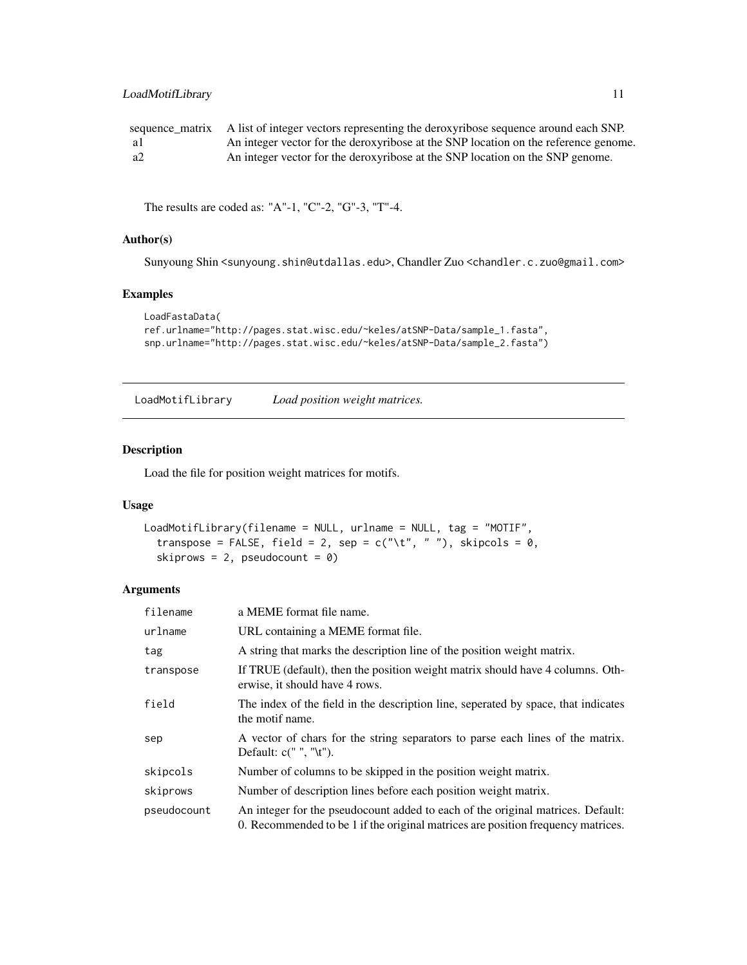# <span id="page-10-0"></span>LoadMotifLibrary 11

|      | sequence matrix A list of integer vectors representing the deroxyribose sequence around each SNP. |
|------|---------------------------------------------------------------------------------------------------|
| -a I | An integer vector for the deroxyribose at the SNP location on the reference genome.               |
| - a2 | An integer vector for the deroxyribose at the SNP location on the SNP genome.                     |

The results are coded as: "A"-1, "C"-2, "G"-3, "T"-4.

# Author(s)

Sunyoung Shin <sunyoung.shin@utdallas.edu>, Chandler Zuo <chandler.c.zuo@gmail.com>

# Examples

```
LoadFastaData(
ref.urlname="http://pages.stat.wisc.edu/~keles/atSNP-Data/sample_1.fasta",
snp.urlname="http://pages.stat.wisc.edu/~keles/atSNP-Data/sample_2.fasta")
```
<span id="page-10-1"></span>LoadMotifLibrary *Load position weight matrices.*

# Description

Load the file for position weight matrices for motifs.

#### Usage

```
LoadMotifLibrary(filename = NULL, urlname = NULL, tag = "MOTIF",
  transpose = FALSE, field = 2, sep = c("t", " "); skipcols = 0,
  skiprows = 2, pseudocount = \theta)
```
# Arguments

| filename    | a MEME format file name.                                                                                                                                            |
|-------------|---------------------------------------------------------------------------------------------------------------------------------------------------------------------|
| urlname     | URL containing a MEME format file.                                                                                                                                  |
| tag         | A string that marks the description line of the position weight matrix.                                                                                             |
| transpose   | If TRUE (default), then the position weight matrix should have 4 columns. Oth-<br>erwise, it should have 4 rows.                                                    |
| field       | The index of the field in the description line, seperated by space, that indicates<br>the motif name.                                                               |
| sep         | A vector of chars for the string separators to parse each lines of the matrix.                                                                                      |
| skipcols    | Number of columns to be skipped in the position weight matrix.                                                                                                      |
| skiprows    | Number of description lines before each position weight matrix.                                                                                                     |
| pseudocount | An integer for the pseudocount added to each of the original matrices. Default:<br>0. Recommended to be 1 if the original matrices are position frequency matrices. |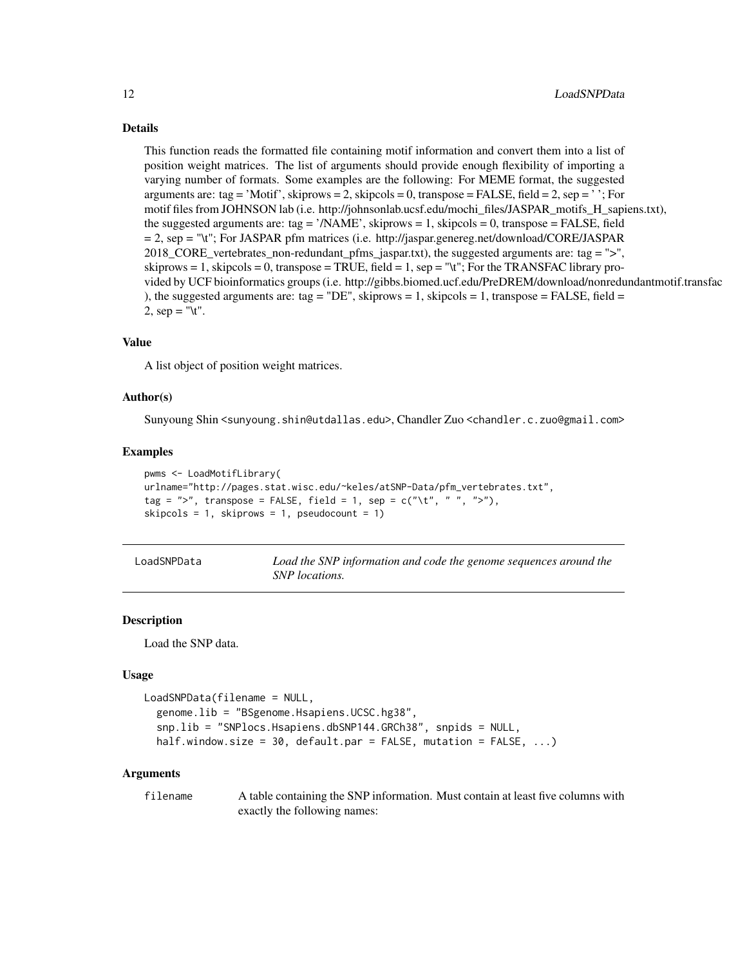#### <span id="page-11-0"></span>Details

This function reads the formatted file containing motif information and convert them into a list of position weight matrices. The list of arguments should provide enough flexibility of importing a varying number of formats. Some examples are the following: For MEME format, the suggested arguments are: tag = 'Motif', skiprows = 2, skipcols = 0, transpose = FALSE, field = 2, sep = '; For motif files from JOHNSON lab (i.e. http://johnsonlab.ucsf.edu/mochi\_files/JASPAR\_motifs\_H\_sapiens.txt), the suggested arguments are: tag = '/NAME', skiprows = 1, skipcols = 0, transpose = FALSE, field = 2, sep = "\t"; For JASPAR pfm matrices (i.e. http://jaspar.genereg.net/download/CORE/JASPAR 2018\_CORE\_vertebrates\_non-redundant\_pfms\_jaspar.txt), the suggested arguments are: tag = ">", skiprows  $= 1$ , skipcols  $= 0$ , transpose  $= TRUE$ , field  $= 1$ , sep  $=$  "\t"; For the TRANSFAC library provided by UCF bioinformatics groups (i.e. http://gibbs.biomed.ucf.edu/PreDREM/download/nonredundantmotif.transfac ), the suggested arguments are: tag = "DE", skiprows = 1, skipcols = 1, transpose = FALSE, field = 2,  $sep = "t".$ 

# Value

A list object of position weight matrices.

#### Author(s)

Sunyoung Shin <sunyoung.shin@utdallas.edu>, Chandler Zuo <chandler.c.zuo@gmail.com>

#### Examples

```
pwms <- LoadMotifLibrary(
urlname="http://pages.stat.wisc.edu/~keles/atSNP-Data/pfm_vertebrates.txt",
tag = ">", transpose = FALSE, field = 1, sep = c("t", " ", "z"),skipcols = 1, skiprows = 1, pseudocount = 1)
```
<span id="page-11-1"></span>

| LoadSNPData | Load the SNP information and code the genome sequences around the |
|-------------|-------------------------------------------------------------------|
|             | SNP locations.                                                    |

#### Description

Load the SNP data.

#### Usage

```
LoadSNPData(filename = NULL,
  genome.lib = "BSgenome.Hsapiens.UCSC.hg38",
  snp.lib = "SNPlocs.Hsapiens.dbSNP144.GRCh38", snpids = NULL,
  half.window.size = 30, default.par = FALSE, mutation = FALSE, ...)
```
#### Arguments

filename A table containing the SNP information. Must contain at least five columns with exactly the following names: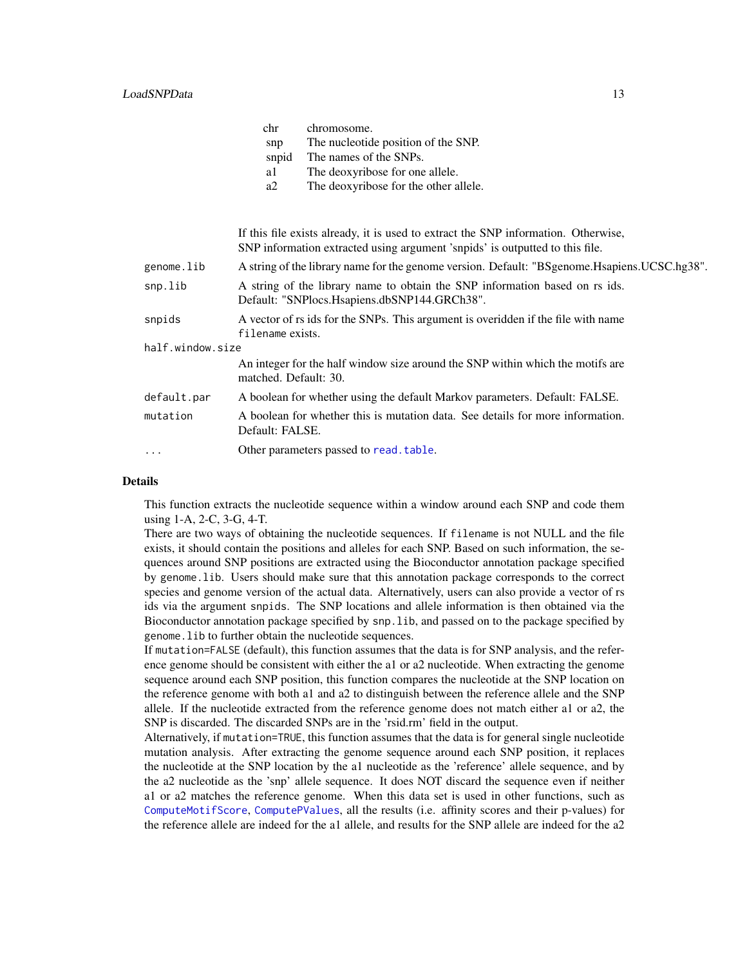<span id="page-12-0"></span>

|                  | chr                                                                                                   | chromosome.                                                                                                                                                        |  |
|------------------|-------------------------------------------------------------------------------------------------------|--------------------------------------------------------------------------------------------------------------------------------------------------------------------|--|
|                  | snp                                                                                                   | The nucleotide position of the SNP.                                                                                                                                |  |
|                  | snpid                                                                                                 | The names of the SNPs.                                                                                                                                             |  |
|                  | a1                                                                                                    | The deoxyribose for one allele.                                                                                                                                    |  |
|                  | a2                                                                                                    | The deoxyribose for the other allele.                                                                                                                              |  |
|                  |                                                                                                       | If this file exists already, it is used to extract the SNP information. Otherwise,<br>SNP information extracted using argument 'snpids' is outputted to this file. |  |
| genome.lib       |                                                                                                       | A string of the library name for the genome version. Default: "BSgenome.Hsapiens.UCSC.hg38".                                                                       |  |
|                  |                                                                                                       |                                                                                                                                                                    |  |
| snp.lib          |                                                                                                       | A string of the library name to obtain the SNP information based on rs ids.<br>Default: "SNPlocs.Hsapiens.dbSNP144.GRCh38".                                        |  |
| snpids           | A vector of rs ids for the SNPs. This argument is overidden if the file with name<br>filename exists. |                                                                                                                                                                    |  |
| half.window.size |                                                                                                       |                                                                                                                                                                    |  |
|                  | matched. Default: 30.                                                                                 | An integer for the half window size around the SNP within which the motifs are                                                                                     |  |
| default.par      |                                                                                                       | A boolean for whether using the default Markov parameters. Default: FALSE.                                                                                         |  |
| mutation         | Default: FALSE.                                                                                       | A boolean for whether this is mutation data. See details for more information.                                                                                     |  |
| $\cdots$         |                                                                                                       | Other parameters passed to read. table.                                                                                                                            |  |
|                  |                                                                                                       |                                                                                                                                                                    |  |

#### Details

This function extracts the nucleotide sequence within a window around each SNP and code them using 1-A, 2-C, 3-G, 4-T.

There are two ways of obtaining the nucleotide sequences. If filename is not NULL and the file exists, it should contain the positions and alleles for each SNP. Based on such information, the sequences around SNP positions are extracted using the Bioconductor annotation package specified by genome.lib. Users should make sure that this annotation package corresponds to the correct species and genome version of the actual data. Alternatively, users can also provide a vector of rs ids via the argument snpids. The SNP locations and allele information is then obtained via the Bioconductor annotation package specified by snp.lib, and passed on to the package specified by genome.lib to further obtain the nucleotide sequences.

If mutation=FALSE (default), this function assumes that the data is for SNP analysis, and the reference genome should be consistent with either the a1 or a2 nucleotide. When extracting the genome sequence around each SNP position, this function compares the nucleotide at the SNP location on the reference genome with both a1 and a2 to distinguish between the reference allele and the SNP allele. If the nucleotide extracted from the reference genome does not match either a1 or a2, the SNP is discarded. The discarded SNPs are in the 'rsid.rm' field in the output.

Alternatively, if mutation=TRUE, this function assumes that the data is for general single nucleotide mutation analysis. After extracting the genome sequence around each SNP position, it replaces the nucleotide at the SNP location by the a1 nucleotide as the 'reference' allele sequence, and by the a2 nucleotide as the 'snp' allele sequence. It does NOT discard the sequence even if neither a1 or a2 matches the reference genome. When this data set is used in other functions, such as [ComputeMotifScore](#page-2-1), [ComputePValues](#page-4-1), all the results (i.e. affinity scores and their p-values) for the reference allele are indeed for the a1 allele, and results for the SNP allele are indeed for the a2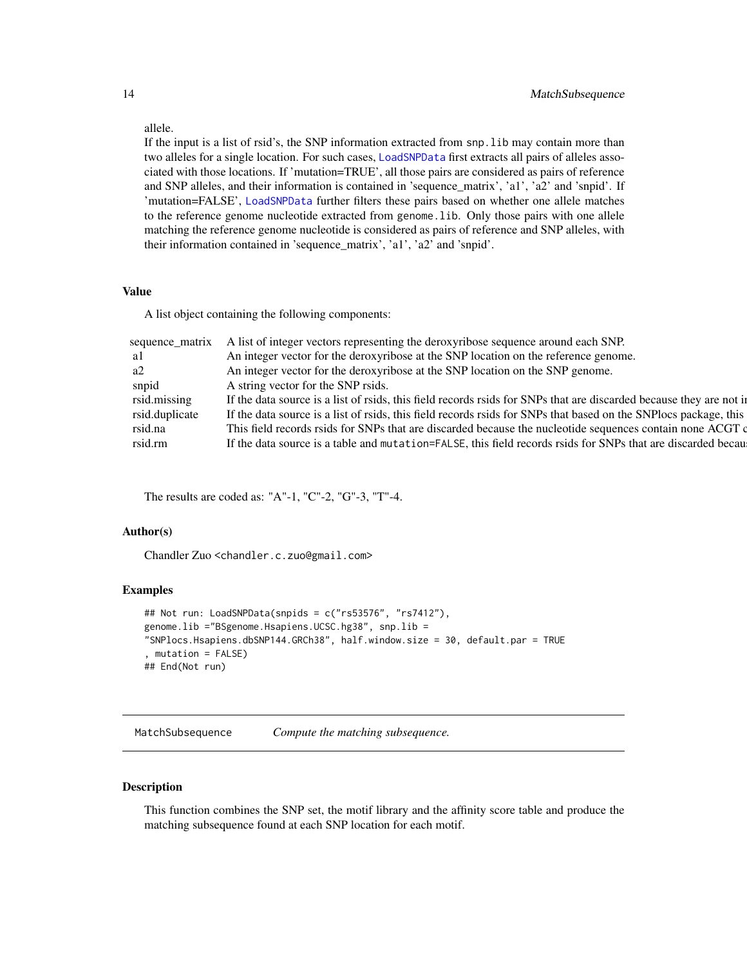allele.

If the input is a list of rsid's, the SNP information extracted from snp.lib may contain more than two alleles for a single location. For such cases, [LoadSNPData](#page-11-1) first extracts all pairs of alleles associated with those locations. If 'mutation=TRUE', all those pairs are considered as pairs of reference and SNP alleles, and their information is contained in 'sequence\_matrix', 'a1', 'a2' and 'snpid'. If 'mutation=FALSE', [LoadSNPData](#page-11-1) further filters these pairs based on whether one allele matches to the reference genome nucleotide extracted from genome.lib. Only those pairs with one allele matching the reference genome nucleotide is considered as pairs of reference and SNP alleles, with their information contained in 'sequence\_matrix', 'a1', 'a2' and 'snpid'.

# Value

A list object containing the following components:

| sequence_matrix | A list of integer vectors representing the deroxyribose sequence around each SNP.                                   |
|-----------------|---------------------------------------------------------------------------------------------------------------------|
| al              | An integer vector for the deroxyribose at the SNP location on the reference genome.                                 |
| a2              | An integer vector for the deroxyribose at the SNP location on the SNP genome.                                       |
| snpid           | A string vector for the SNP rsids.                                                                                  |
| rsid.missing    | If the data source is a list of rsids, this field records rsids for SNPs that are discarded because they are not in |
| rsid.duplicate  | If the data source is a list of rsids, this field records rsids for SNPs that based on the SNPlocs package, this    |
| rsid.na         | This field records rsids for SNPs that are discarded because the nucleotide sequences contain none ACGT of          |
| rsid.rm         | If the data source is a table and mutation=FALSE, this field records rsids for SNPs that are discarded because      |
|                 |                                                                                                                     |

The results are coded as: "A"-1, "C"-2, "G"-3, "T"-4.

#### Author(s)

Chandler Zuo <chandler.c.zuo@gmail.com>

#### Examples

```
## Not run: LoadSNPData(snpids = c("rs53576", "rs7412"),
genome.lib ="BSgenome.Hsapiens.UCSC.hg38", snp.lib =
"SNPlocs.Hsapiens.dbSNP144.GRCh38", half.window.size = 30, default.par = TRUE
, mutation = FALSE)
## End(Not run)
```
<span id="page-13-1"></span>MatchSubsequence *Compute the matching subsequence.*

#### Description

This function combines the SNP set, the motif library and the affinity score table and produce the matching subsequence found at each SNP location for each motif.

<span id="page-13-0"></span>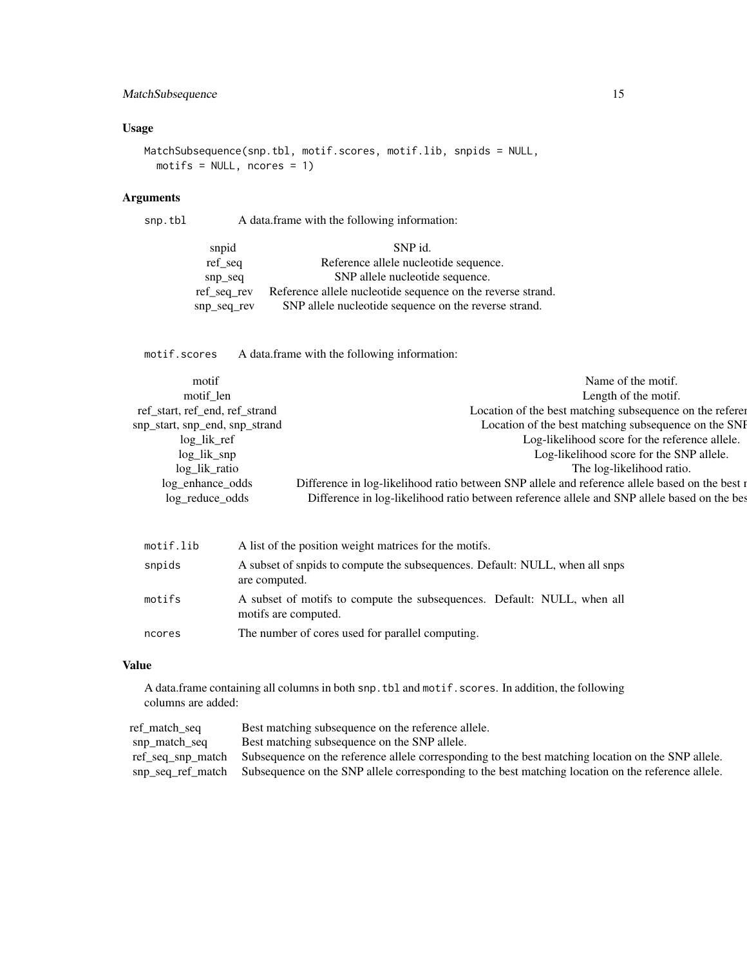# MatchSubsequence 15

# Usage

```
MatchSubsequence(snp.tbl, motif.scores, motif.lib, snpids = NULL,
 motifs = NULL, nocres = 1)
```
# Arguments

snp.tbl A data.frame with the following information:

| snpid           | SNP id.                                                     |
|-----------------|-------------------------------------------------------------|
| ref_seq         | Reference allele nucleotide sequence.                       |
| snp seq         | SNP allele nucleotide sequence.                             |
| $ref\_seq\_rev$ | Reference allele nucleotide sequence on the reverse strand. |
| snp_seq_rev     | SNP allele nucleotide sequence on the reverse strand.       |

motif.scores A data.frame with the following information:

| motif                          | Name of the motif.                                                                             |
|--------------------------------|------------------------------------------------------------------------------------------------|
| motif len                      | Length of the motif.                                                                           |
| ref_start, ref_end, ref_strand | Location of the best matching subsequence on the referent                                      |
| snp_start, snp_end, snp_strand | Location of the best matching subsequence on the SNI                                           |
| log lik ref                    | Log-likelihood score for the reference allele.                                                 |
| $log_{1}$ $\frac{1}{k}$ snp    | Log-likelihood score for the SNP allele.                                                       |
| log_lik_ratio                  | The log-likelihood ratio.                                                                      |
| log_enhance_odds               | Difference in log-likelihood ratio between SNP allele and reference allele based on the best r |
| log_reduce_odds                | Difference in log-likelihood ratio between reference allele and SNP allele based on the bes    |
|                                |                                                                                                |

| motif.lib | A list of the position weight matrices for the motifs.                                          |
|-----------|-------------------------------------------------------------------------------------------------|
| snpids    | A subset of snpids to compute the subsequences. Default: NULL, when all snps<br>are computed.   |
| motifs    | A subset of motifs to compute the subsequences. Default: NULL, when all<br>motifs are computed. |
| ncores    | The number of cores used for parallel computing.                                                |

#### Value

A data.frame containing all columns in both snp.tbl and motif.scores. In addition, the following columns are added:

| ref_match_seq | Best matching subsequence on the reference allele.                                                                   |
|---------------|----------------------------------------------------------------------------------------------------------------------|
| snp match seq | Best matching subsequence on the SNP allele.                                                                         |
|               | ref_seq_snp_match Subsequence on the reference allele corresponding to the best matching location on the SNP allele. |
|               | snp_seq_ref_match Subsequence on the SNP allele corresponding to the best matching location on the reference allele. |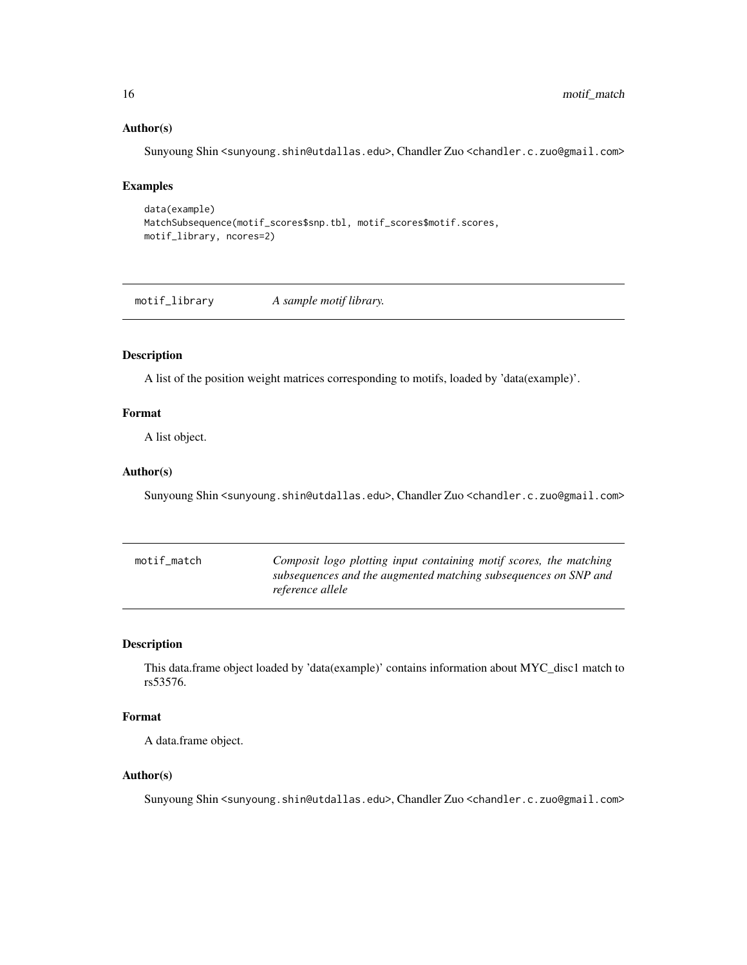#### Author(s)

Sunyoung Shin <sunyoung.shin@utdallas.edu>, Chandler Zuo <chandler.c.zuo@gmail.com>

#### Examples

```
data(example)
MatchSubsequence(motif_scores$snp.tbl, motif_scores$motif.scores,
motif_library, ncores=2)
```
motif\_library *A sample motif library.*

# Description

A list of the position weight matrices corresponding to motifs, loaded by 'data(example)'.

# Format

A list object.

#### Author(s)

Sunyoung Shin <sunyoung.shin@utdallas.edu>, Chandler Zuo <chandler.c.zuo@gmail.com>

| motif match | Composit logo plotting input containing motif scores, the matching |
|-------------|--------------------------------------------------------------------|
|             | subsequences and the augmented matching subsequences on SNP and    |
|             | reference allele                                                   |

### Description

This data.frame object loaded by 'data(example)' contains information about MYC\_disc1 match to rs53576.

#### Format

A data.frame object.

#### Author(s)

Sunyoung Shin <sunyoung.shin@utdallas.edu>, Chandler Zuo <chandler.c.zuo@gmail.com>

<span id="page-15-0"></span>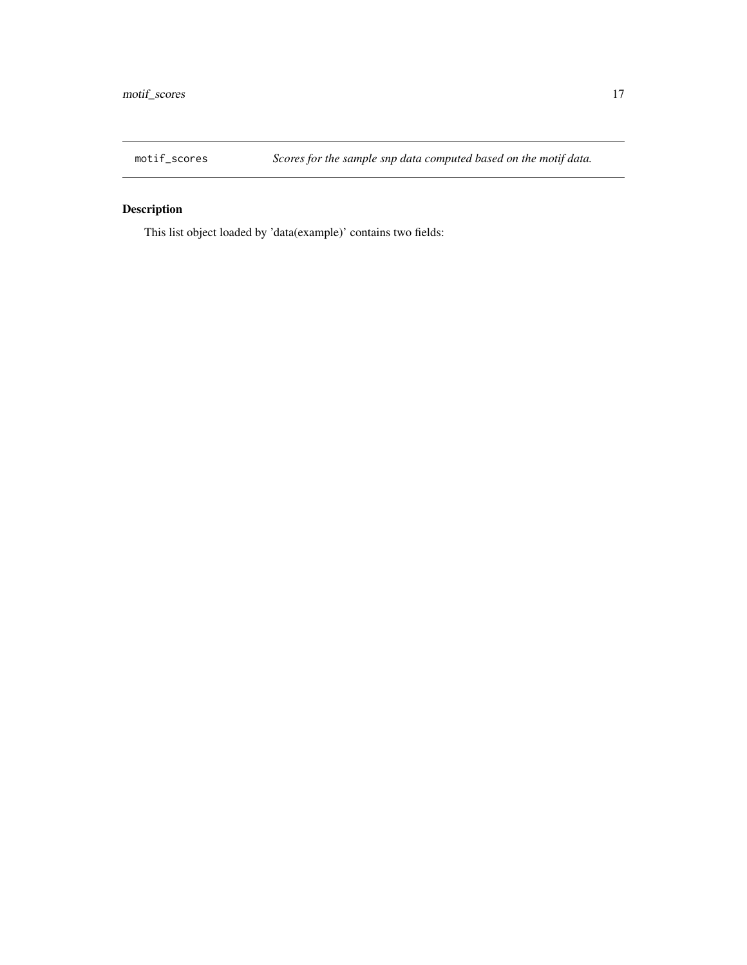<span id="page-16-0"></span>

# Description

This list object loaded by 'data(example)' contains two fields: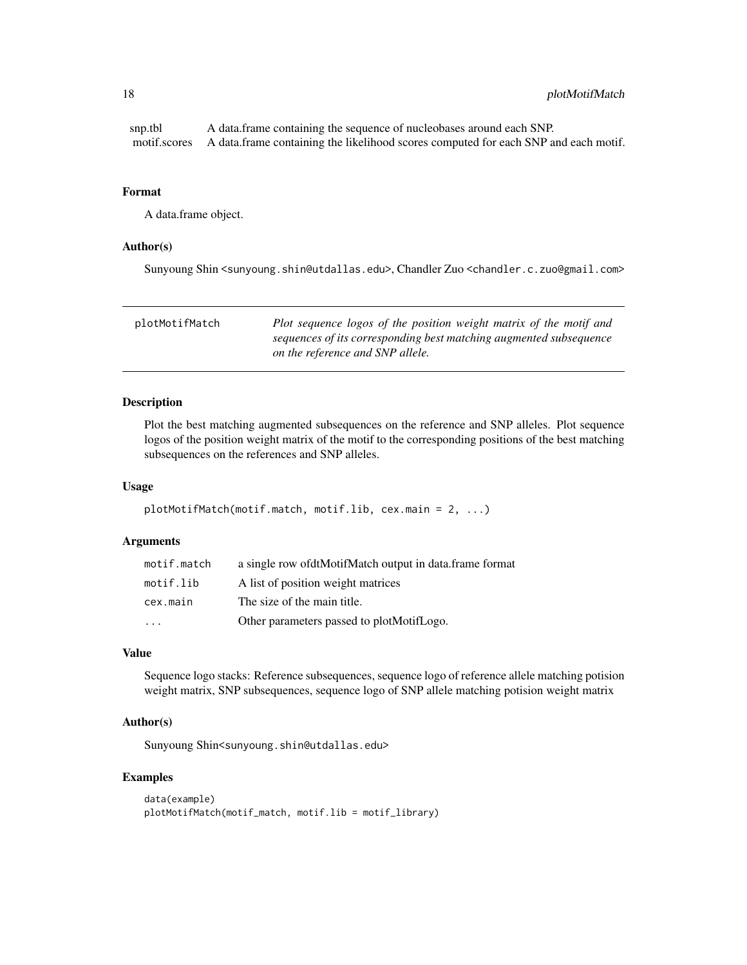#### <span id="page-17-0"></span>Format

A data.frame object.

#### Author(s)

Sunyoung Shin <sunyoung.shin@utdallas.edu>, Chandler Zuo <chandler.c.zuo@gmail.com>

<span id="page-17-1"></span>

| plotMotifMatch | Plot sequence logos of the position weight matrix of the motif and                                     |
|----------------|--------------------------------------------------------------------------------------------------------|
|                | sequences of its corresponding best matching augmented subsequence<br>on the reference and SNP allele. |
|                |                                                                                                        |

# Description

Plot the best matching augmented subsequences on the reference and SNP alleles. Plot sequence logos of the position weight matrix of the motif to the corresponding positions of the best matching subsequences on the references and SNP alleles.

#### Usage

```
plotMotifMatch(motif.match, motif.lib, cex.main = 2, ...)
```
# Arguments

| motif.match | a single row of dtMotifMatch output in data.frame format |
|-------------|----------------------------------------------------------|
| motif.lib   | A list of position weight matrices                       |
| cex.main    | The size of the main title.                              |
| $\cdot$     | Other parameters passed to plotMotifLogo.                |

#### Value

Sequence logo stacks: Reference subsequences, sequence logo of reference allele matching potision weight matrix, SNP subsequences, sequence logo of SNP allele matching potision weight matrix

#### Author(s)

Sunyoung Shin<sunyoung.shin@utdallas.edu>

# Examples

```
data(example)
plotMotifMatch(motif_match, motif.lib = motif_library)
```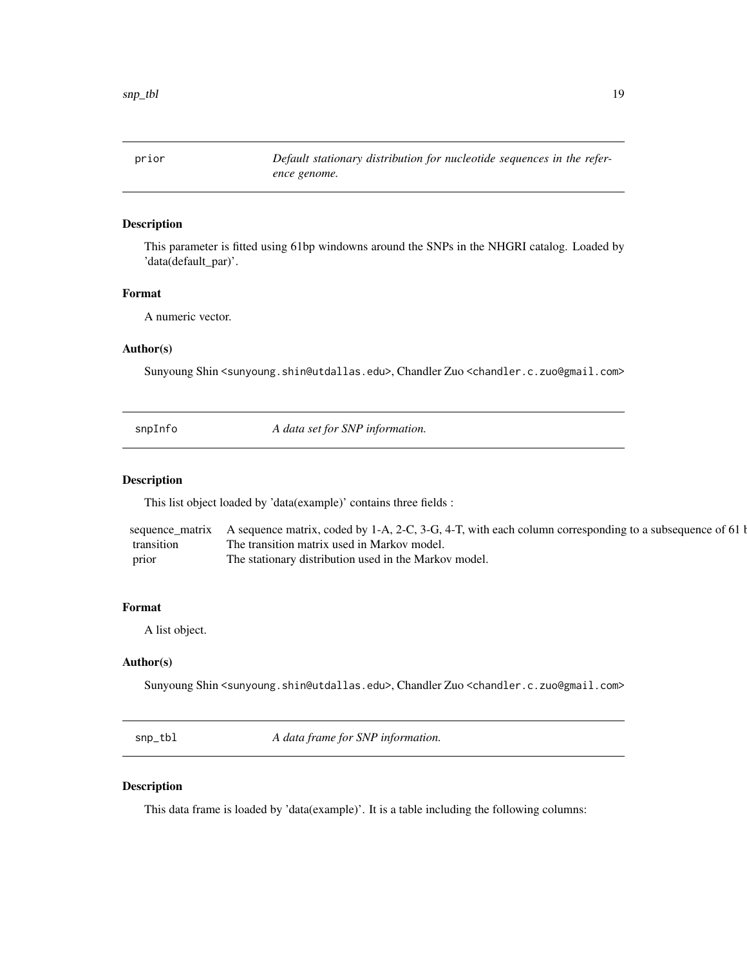<span id="page-18-0"></span>prior *Default stationary distribution for nucleotide sequences in the reference genome.*

#### Description

This parameter is fitted using 61bp windowns around the SNPs in the NHGRI catalog. Loaded by 'data(default\_par)'.

# Format

A numeric vector.

# Author(s)

Sunyoung Shin <sunyoung.shin@utdallas.edu>, Chandler Zuo <chandler.c.zuo@gmail.com>

snpInfo *A data set for SNP information.*

#### Description

This list object loaded by 'data(example)' contains three fields :

|            | sequence_matrix A sequence matrix, coded by 1-A, 2-C, 3-G, 4-T, with each column corresponding to a subsequence of 61 b |
|------------|-------------------------------------------------------------------------------------------------------------------------|
| transition | The transition matrix used in Markov model.                                                                             |
| prior      | The stationary distribution used in the Markov model.                                                                   |

#### Format

A list object.

# Author(s)

Sunyoung Shin <sunyoung.shin@utdallas.edu>, Chandler Zuo <chandler.c.zuo@gmail.com>

snp\_tbl *A data frame for SNP information.*

# Description

This data frame is loaded by 'data(example)'. It is a table including the following columns: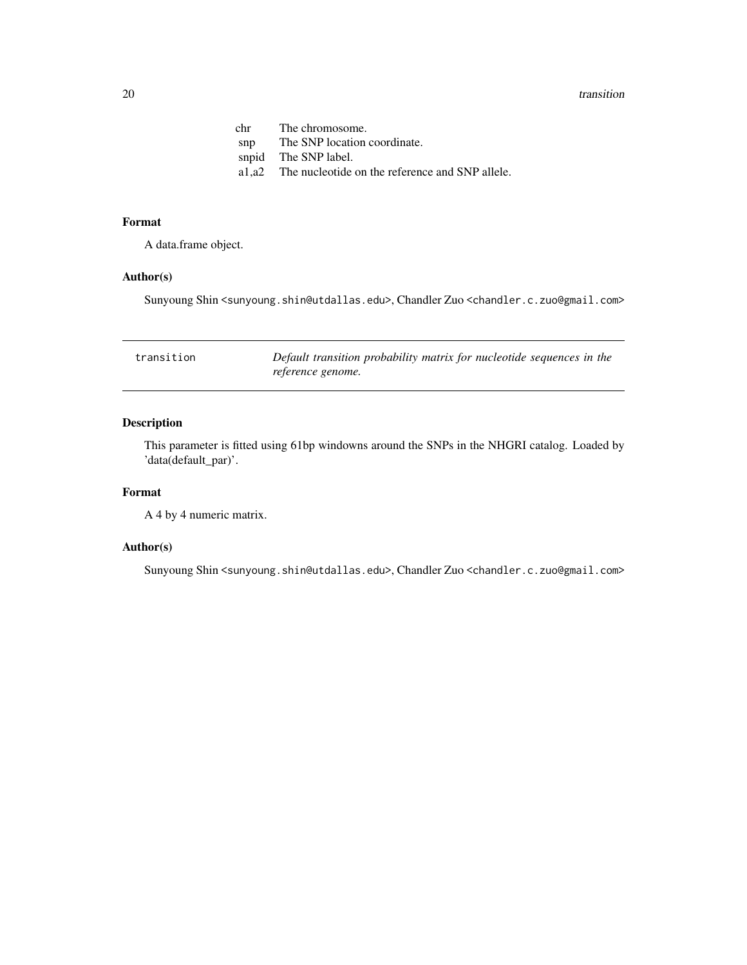#### <span id="page-19-0"></span>20 transition to the contract of the contract of the contract of the contract of the contract of the contract of the contract of the contract of the contract of the contract of the contract of the contract of the contract

| The chromosome.                                       |
|-------------------------------------------------------|
| The SNP location coordinate.                          |
| snpid The SNP label.                                  |
| a1,a2 The nucleotide on the reference and SNP allele. |
|                                                       |

#### Format

A data.frame object.

# Author(s)

Sunyoung Shin <sunyoung.shin@utdallas.edu>, Chandler Zuo <chandler.c.zuo@gmail.com>

| transition | Default transition probability matrix for nucleotide sequences in the |
|------------|-----------------------------------------------------------------------|
|            | reference genome.                                                     |

# Description

This parameter is fitted using 61bp windowns around the SNPs in the NHGRI catalog. Loaded by 'data(default\_par)'.

#### Format

A 4 by 4 numeric matrix.

# Author(s)

Sunyoung Shin <sunyoung.shin@utdallas.edu>, Chandler Zuo <chandler.c.zuo@gmail.com>